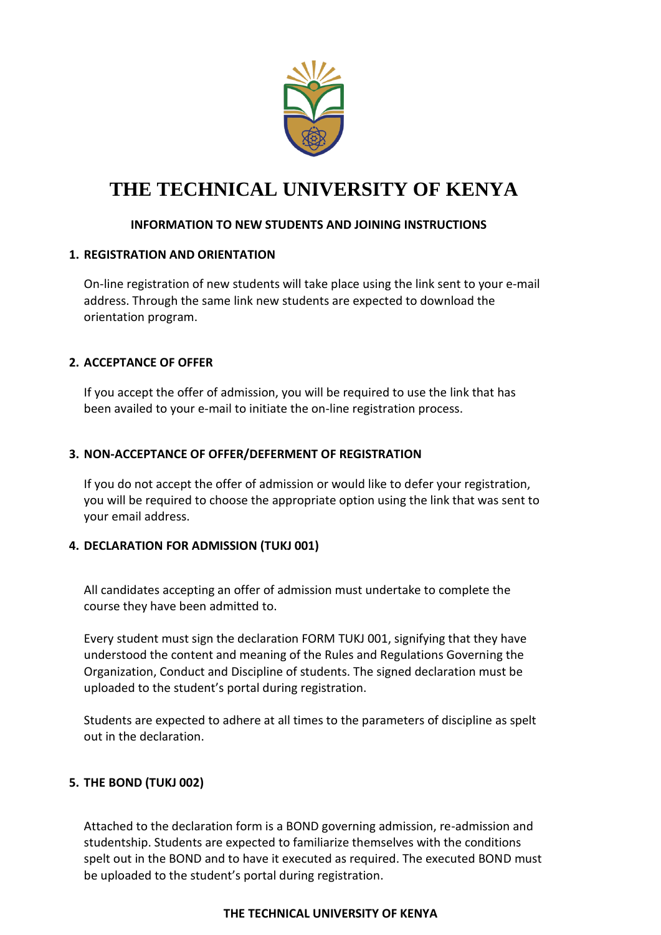

## **INFORMATION TO NEW STUDENTS AND JOINING INSTRUCTIONS**

#### **1. REGISTRATION AND ORIENTATION**

On-line registration of new students will take place using the link sent to your e-mail address. Through the same link new students are expected to download the orientation program.

## **2. ACCEPTANCE OF OFFER**

If you accept the offer of admission, you will be required to use the link that has been availed to your e-mail to initiate the on-line registration process.

## **3. NON-ACCEPTANCE OF OFFER/DEFERMENT OF REGISTRATION**

If you do not accept the offer of admission or would like to defer your registration, you will be required to choose the appropriate option using the link that was sent to your email address.

#### **4. DECLARATION FOR ADMISSION (TUKJ 001)**

All candidates accepting an offer of admission must undertake to complete the course they have been admitted to.

Every student must sign the declaration FORM TUKJ 001, signifying that they have understood the content and meaning of the Rules and Regulations Governing the Organization, Conduct and Discipline of students. The signed declaration must be uploaded to the student's portal during registration.

Students are expected to adhere at all times to the parameters of discipline as spelt out in the declaration.

## **5. THE BOND (TUKJ 002)**

Attached to the declaration form is a BOND governing admission, re-admission and studentship. Students are expected to familiarize themselves with the conditions spelt out in the BOND and to have it executed as required. The executed BOND must be uploaded to the student's portal during registration.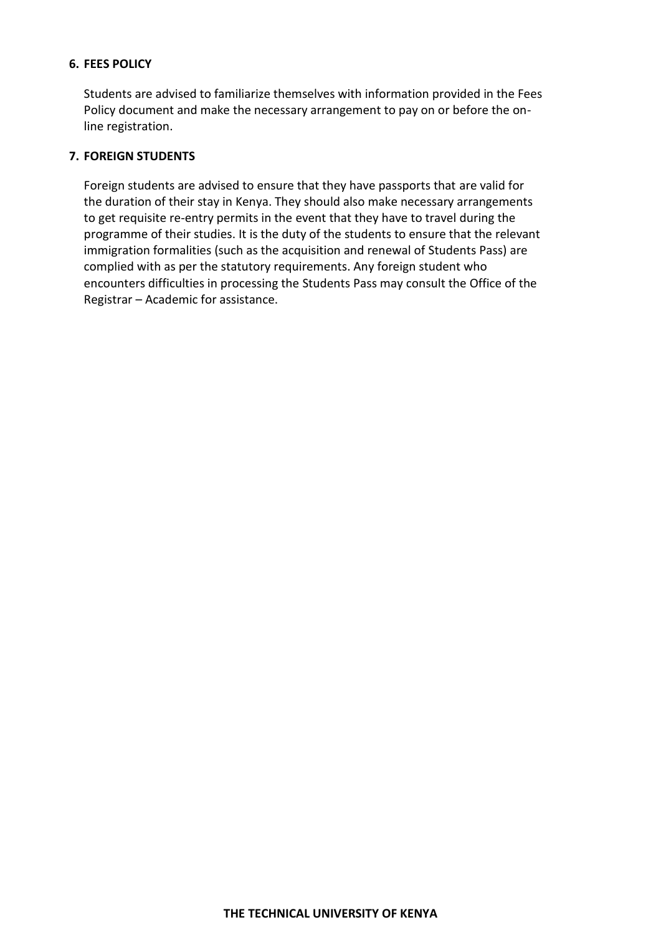#### **6. FEES POLICY**

Students are advised to familiarize themselves with information provided in the Fees Policy document and make the necessary arrangement to pay on or before the online registration.

#### **7. FOREIGN STUDENTS**

Foreign students are advised to ensure that they have passports that are valid for the duration of their stay in Kenya. They should also make necessary arrangements to get requisite re-entry permits in the event that they have to travel during the programme of their studies. It is the duty of the students to ensure that the relevant immigration formalities (such as the acquisition and renewal of Students Pass) are complied with as per the statutory requirements. Any foreign student who encounters difficulties in processing the Students Pass may consult the Office of the Registrar – Academic for assistance.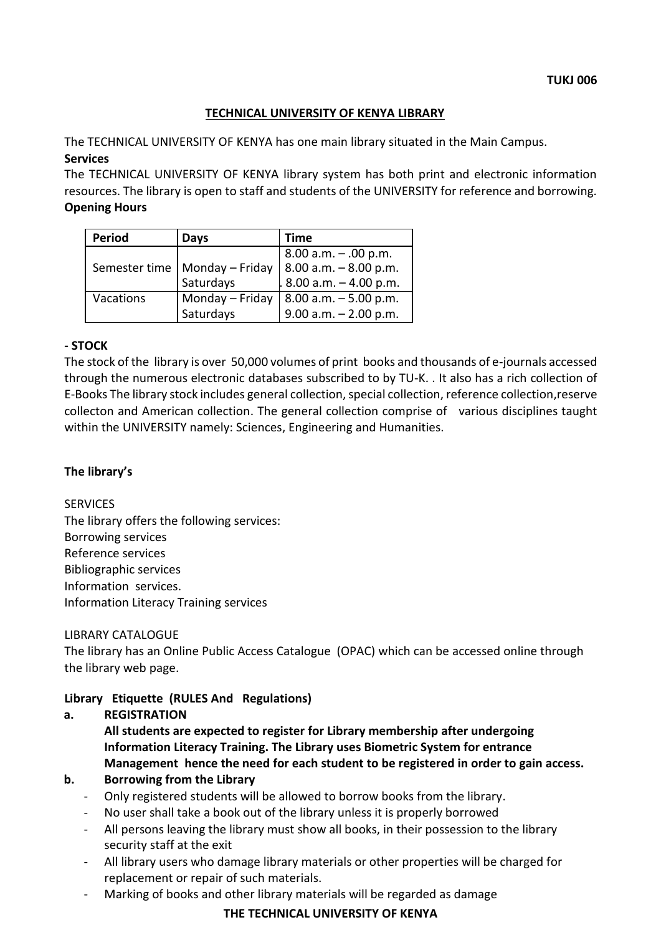## **TECHNICAL UNIVERSITY OF KENYA LIBRARY**

The TECHNICAL UNIVERSITY OF KENYA has one main library situated in the Main Campus. **Services**

The TECHNICAL UNIVERSITY OF KENYA library system has both print and electronic information resources. The library is open to staff and students of the UNIVERSITY for reference and borrowing. **Opening Hours**

| <b>Period</b> | Days                            | <b>Time</b>                                   |
|---------------|---------------------------------|-----------------------------------------------|
|               |                                 |                                               |
|               | Semester time   Monday - Friday | 8.00 a.m. - .00 p.m.<br>8.00 a.m. - 8.00 p.m. |
|               | Saturdays                       | $.8.00$ a.m. $-4.00$ p.m.                     |
| Vacations     | Monday - Friday                 | $8.00$ a.m. $-5.00$ p.m.                      |
|               | Saturdays                       | $9.00$ a.m. $- 2.00$ p.m.                     |

#### **- STOCK**

The stock of the library is over 50,000 volumes of print books and thousands of e-journals accessed through the numerous electronic databases subscribed to by TU-K. . It also has a rich collection of E-Books The library stock includes general collection, special collection, reference collection,reserve collecton and American collection. The general collection comprise of various disciplines taught within the UNIVERSITY namely: Sciences, Engineering and Humanities.

#### **The library's**

#### **SERVICES**

The library offers the following services: Borrowing services Reference services Bibliographic services Information services. Information Literacy Training services

#### LIBRARY CATALOGUE

The library has an Online Public Access Catalogue (OPAC) which can be accessed online through the library web page.

#### **Library Etiquette (RULES And Regulations)**

## **a. REGISTRATION**

**All students are expected to register for Library membership after undergoing Information Literacy Training. The Library uses Biometric System for entrance Management hence the need for each student to be registered in order to gain access.**

#### **b. Borrowing from the Library**

- Only registered students will be allowed to borrow books from the library.
- No user shall take a book out of the library unless it is properly borrowed
- All persons leaving the library must show all books, in their possession to the library security staff at the exit
- All library users who damage library materials or other properties will be charged for replacement or repair of such materials.
- Marking of books and other library materials will be regarded as damage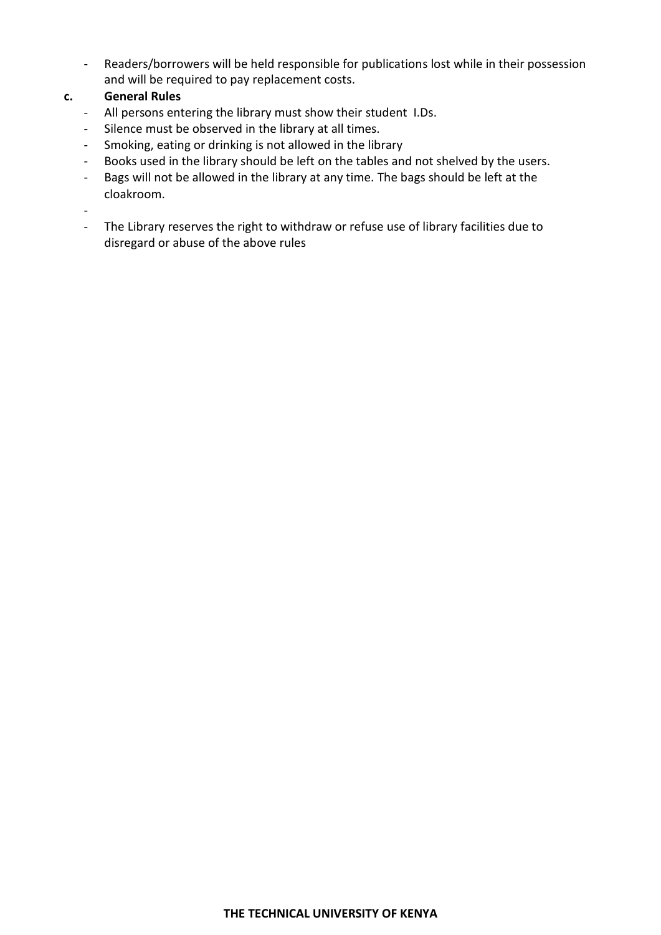- Readers/borrowers will be held responsible for publications lost while in their possession and will be required to pay replacement costs.

## **c. General Rules**

- All persons entering the library must show their student I.Ds.
- Silence must be observed in the library at all times.
- Smoking, eating or drinking is not allowed in the library
- Books used in the library should be left on the tables and not shelved by the users.
- Bags will not be allowed in the library at any time. The bags should be left at the cloakroom.

-

- The Library reserves the right to withdraw or refuse use of library facilities due to disregard or abuse of the above rules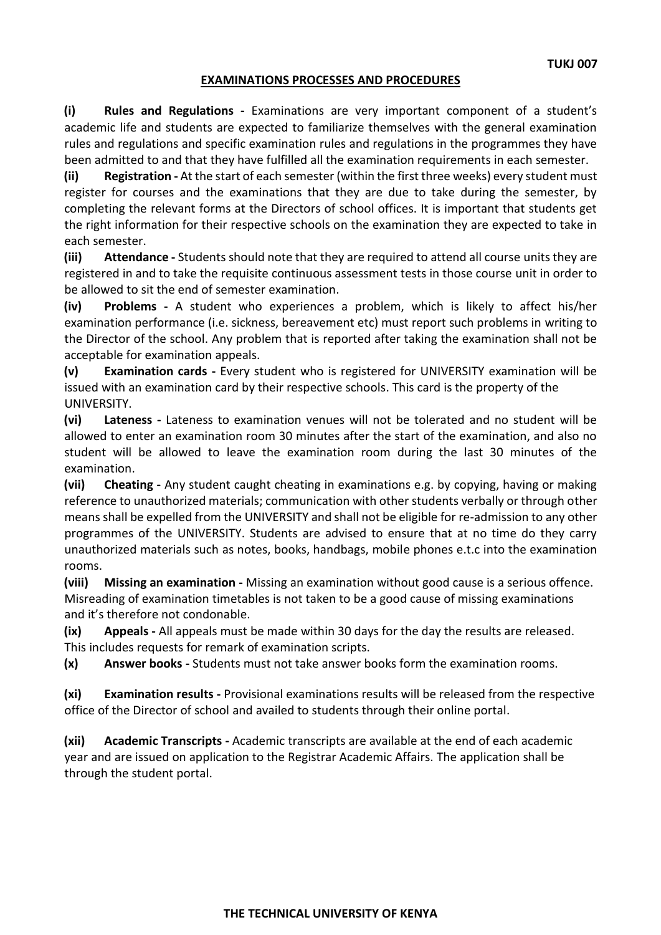#### **EXAMINATIONS PROCESSES AND PROCEDURES**

**(i) Rules and Regulations -** Examinations are very important component of a student's academic life and students are expected to familiarize themselves with the general examination rules and regulations and specific examination rules and regulations in the programmes they have been admitted to and that they have fulfilled all the examination requirements in each semester.

**(ii) Registration -** At the start of each semester (within the first three weeks) every student must register for courses and the examinations that they are due to take during the semester, by completing the relevant forms at the Directors of school offices. It is important that students get the right information for their respective schools on the examination they are expected to take in each semester.

**(iii) Attendance -** Students should note that they are required to attend all course units they are registered in and to take the requisite continuous assessment tests in those course unit in order to be allowed to sit the end of semester examination.

**(iv) Problems -** A student who experiences a problem, which is likely to affect his/her examination performance (i.e. sickness, bereavement etc) must report such problems in writing to the Director of the school. Any problem that is reported after taking the examination shall not be acceptable for examination appeals.

**(v) Examination cards -** Every student who is registered for UNIVERSITY examination will be issued with an examination card by their respective schools. This card is the property of the UNIVERSITY.

**(vi) Lateness -** Lateness to examination venues will not be tolerated and no student will be allowed to enter an examination room 30 minutes after the start of the examination, and also no student will be allowed to leave the examination room during the last 30 minutes of the examination.

**(vii) Cheating -** Any student caught cheating in examinations e.g. by copying, having or making reference to unauthorized materials; communication with other students verbally or through other means shall be expelled from the UNIVERSITY and shall not be eligible for re-admission to any other programmes of the UNIVERSITY. Students are advised to ensure that at no time do they carry unauthorized materials such as notes, books, handbags, mobile phones e.t.c into the examination rooms.

**(viii) Missing an examination -** Missing an examination without good cause is a serious offence. Misreading of examination timetables is not taken to be a good cause of missing examinations and it's therefore not condonable.

**(ix) Appeals -** All appeals must be made within 30 days for the day the results are released. This includes requests for remark of examination scripts.

**(x) Answer books -** Students must not take answer books form the examination rooms.

**(xi) Examination results -** Provisional examinations results will be released from the respective office of the Director of school and availed to students through their online portal.

**(xii) Academic Transcripts -** Academic transcripts are available at the end of each academic year and are issued on application to the Registrar Academic Affairs. The application shall be through the student portal.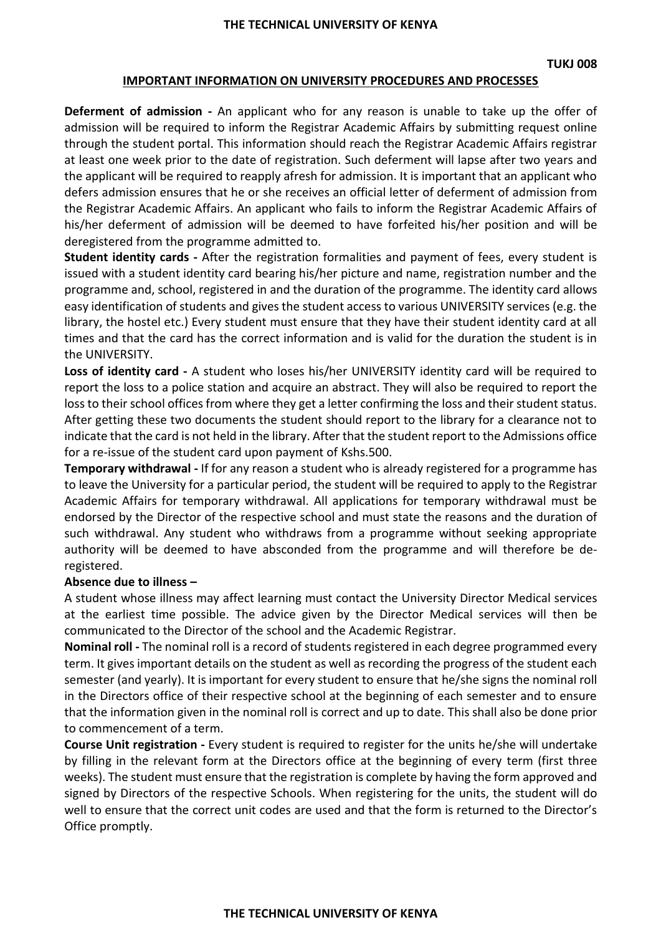#### **IMPORTANT INFORMATION ON UNIVERSITY PROCEDURES AND PROCESSES**

**Deferment of admission -** An applicant who for any reason is unable to take up the offer of admission will be required to inform the Registrar Academic Affairs by submitting request online through the student portal. This information should reach the Registrar Academic Affairs registrar at least one week prior to the date of registration. Such deferment will lapse after two years and the applicant will be required to reapply afresh for admission. It is important that an applicant who defers admission ensures that he or she receives an official letter of deferment of admission from the Registrar Academic Affairs. An applicant who fails to inform the Registrar Academic Affairs of his/her deferment of admission will be deemed to have forfeited his/her position and will be deregistered from the programme admitted to.

**Student identity cards -** After the registration formalities and payment of fees, every student is issued with a student identity card bearing his/her picture and name, registration number and the programme and, school, registered in and the duration of the programme. The identity card allows easy identification of students and gives the student access to various UNIVERSITY services (e.g. the library, the hostel etc.) Every student must ensure that they have their student identity card at all times and that the card has the correct information and is valid for the duration the student is in the UNIVERSITY.

**Loss of identity card -** A student who loses his/her UNIVERSITY identity card will be required to report the loss to a police station and acquire an abstract. They will also be required to report the loss to their school offices from where they get a letter confirming the loss and their student status. After getting these two documents the student should report to the library for a clearance not to indicate that the card is not held in the library. After that the student report to the Admissions office for a re-issue of the student card upon payment of Kshs.500.

**Temporary withdrawal -** If for any reason a student who is already registered for a programme has to leave the University for a particular period, the student will be required to apply to the Registrar Academic Affairs for temporary withdrawal. All applications for temporary withdrawal must be endorsed by the Director of the respective school and must state the reasons and the duration of such withdrawal. Any student who withdraws from a programme without seeking appropriate authority will be deemed to have absconded from the programme and will therefore be deregistered.

#### **Absence due to illness –**

A student whose illness may affect learning must contact the University Director Medical services at the earliest time possible. The advice given by the Director Medical services will then be communicated to the Director of the school and the Academic Registrar.

**Nominal roll -** The nominal roll is a record of students registered in each degree programmed every term. It gives important details on the student as well as recording the progress of the student each semester (and yearly). It is important for every student to ensure that he/she signs the nominal roll in the Directors office of their respective school at the beginning of each semester and to ensure that the information given in the nominal roll is correct and up to date. This shall also be done prior to commencement of a term.

**Course Unit registration -** Every student is required to register for the units he/she will undertake by filling in the relevant form at the Directors office at the beginning of every term (first three weeks). The student must ensure that the registration is complete by having the form approved and signed by Directors of the respective Schools. When registering for the units, the student will do well to ensure that the correct unit codes are used and that the form is returned to the Director's Office promptly.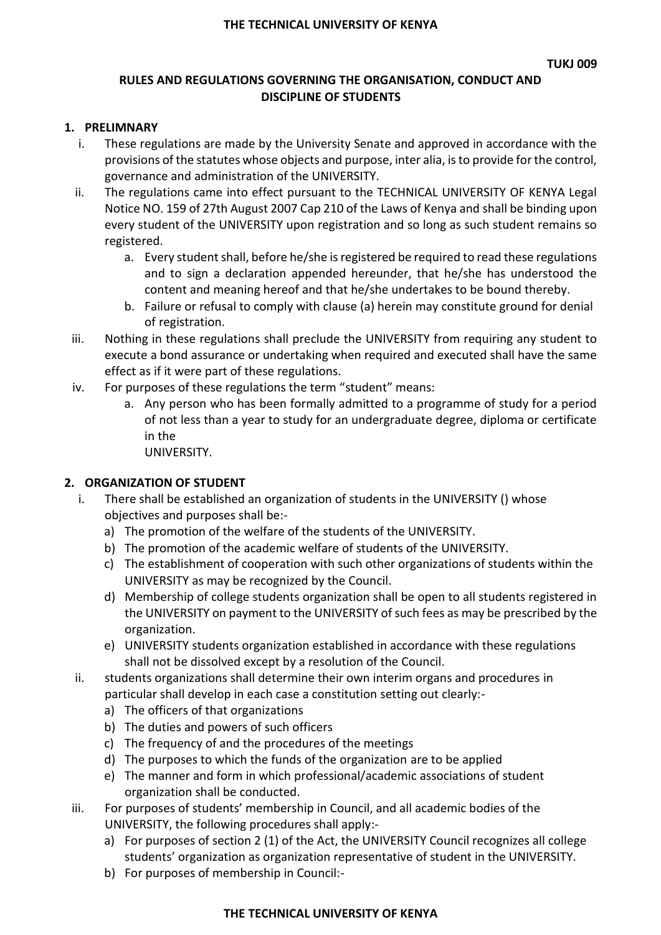## **RULES AND REGULATIONS GOVERNING THE ORGANISATION, CONDUCT AND DISCIPLINE OF STUDENTS**

## **1. PRELIMNARY**

- i. These regulations are made by the University Senate and approved in accordance with the provisions of the statutes whose objects and purpose, inter alia, is to provide for the control, governance and administration of the UNIVERSITY.
- ii. The regulations came into effect pursuant to the TECHNICAL UNIVERSITY OF KENYA Legal Notice NO. 159 of 27th August 2007 Cap 210 of the Laws of Kenya and shall be binding upon every student of the UNIVERSITY upon registration and so long as such student remains so registered.
	- a. Every student shall, before he/she is registered be required to read these regulations and to sign a declaration appended hereunder, that he/she has understood the content and meaning hereof and that he/she undertakes to be bound thereby.
	- b. Failure or refusal to comply with clause (a) herein may constitute ground for denial of registration.
- iii. Nothing in these regulations shall preclude the UNIVERSITY from requiring any student to execute a bond assurance or undertaking when required and executed shall have the same effect as if it were part of these regulations.
- iv. For purposes of these regulations the term "student" means:
	- a. Any person who has been formally admitted to a programme of study for a period of not less than a year to study for an undergraduate degree, diploma or certificate in the

UNIVERSITY.

## **2. ORGANIZATION OF STUDENT**

- i. There shall be established an organization of students in the UNIVERSITY () whose objectives and purposes shall be:
	- a) The promotion of the welfare of the students of the UNIVERSITY.
	- b) The promotion of the academic welfare of students of the UNIVERSITY.
	- c) The establishment of cooperation with such other organizations of students within the UNIVERSITY as may be recognized by the Council.
	- d) Membership of college students organization shall be open to all students registered in the UNIVERSITY on payment to the UNIVERSITY of such fees as may be prescribed by the organization.
	- e) UNIVERSITY students organization established in accordance with these regulations shall not be dissolved except by a resolution of the Council.
- ii. students organizations shall determine their own interim organs and procedures in particular shall develop in each case a constitution setting out clearly:
	- a) The officers of that organizations
	- b) The duties and powers of such officers
	- c) The frequency of and the procedures of the meetings
	- d) The purposes to which the funds of the organization are to be applied
	- e) The manner and form in which professional/academic associations of student organization shall be conducted.
- iii. For purposes of students' membership in Council, and all academic bodies of the UNIVERSITY, the following procedures shall apply:
	- a) For purposes of section 2 (1) of the Act, the UNIVERSITY Council recognizes all college students' organization as organization representative of student in the UNIVERSITY.
	- b) For purposes of membership in Council:-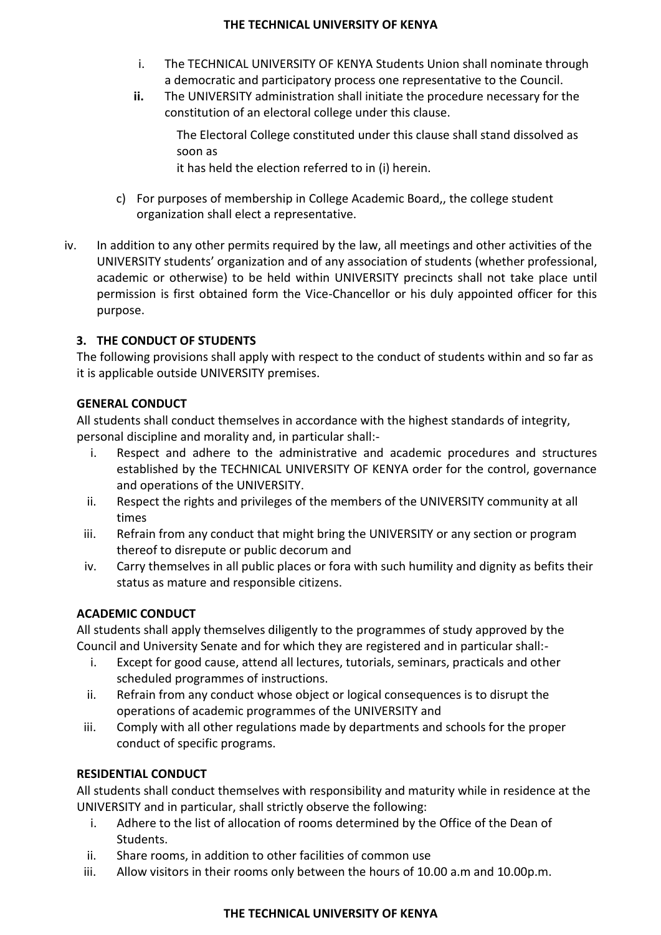- i. The TECHNICAL UNIVERSITY OF KENYA Students Union shall nominate through a democratic and participatory process one representative to the Council.
- **ii.** The UNIVERSITY administration shall initiate the procedure necessary for the constitution of an electoral college under this clause.

The Electoral College constituted under this clause shall stand dissolved as soon as

it has held the election referred to in (i) herein.

- c) For purposes of membership in College Academic Board,, the college student organization shall elect a representative.
- iv. In addition to any other permits required by the law, all meetings and other activities of the UNIVERSITY students' organization and of any association of students (whether professional, academic or otherwise) to be held within UNIVERSITY precincts shall not take place until permission is first obtained form the Vice-Chancellor or his duly appointed officer for this purpose.

## **3. THE CONDUCT OF STUDENTS**

The following provisions shall apply with respect to the conduct of students within and so far as it is applicable outside UNIVERSITY premises.

## **GENERAL CONDUCT**

All students shall conduct themselves in accordance with the highest standards of integrity, personal discipline and morality and, in particular shall:-

- i. Respect and adhere to the administrative and academic procedures and structures established by the TECHNICAL UNIVERSITY OF KENYA order for the control, governance and operations of the UNIVERSITY.
- ii. Respect the rights and privileges of the members of the UNIVERSITY community at all times
- iii. Refrain from any conduct that might bring the UNIVERSITY or any section or program thereof to disrepute or public decorum and
- iv. Carry themselves in all public places or fora with such humility and dignity as befits their status as mature and responsible citizens.

## **ACADEMIC CONDUCT**

All students shall apply themselves diligently to the programmes of study approved by the Council and University Senate and for which they are registered and in particular shall:-

- i. Except for good cause, attend all lectures, tutorials, seminars, practicals and other scheduled programmes of instructions.
- ii. Refrain from any conduct whose object or logical consequences is to disrupt the operations of academic programmes of the UNIVERSITY and
- iii. Comply with all other regulations made by departments and schools for the proper conduct of specific programs.

## **RESIDENTIAL CONDUCT**

All students shall conduct themselves with responsibility and maturity while in residence at the UNIVERSITY and in particular, shall strictly observe the following:

- i. Adhere to the list of allocation of rooms determined by the Office of the Dean of Students.
- ii. Share rooms, in addition to other facilities of common use
- iii. Allow visitors in their rooms only between the hours of 10.00 a.m and 10.00p.m.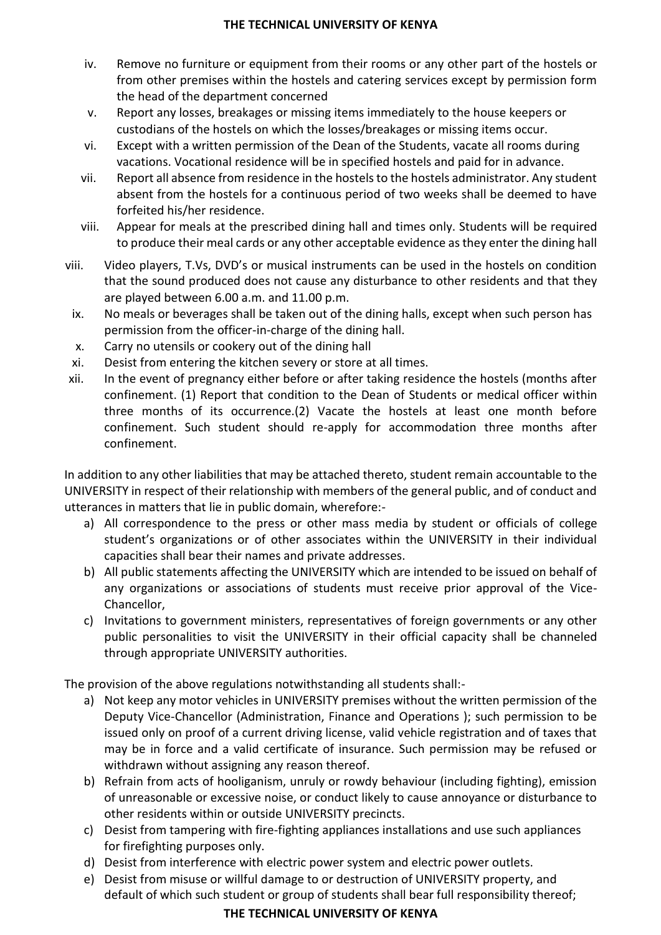- iv. Remove no furniture or equipment from their rooms or any other part of the hostels or from other premises within the hostels and catering services except by permission form the head of the department concerned
- v. Report any losses, breakages or missing items immediately to the house keepers or custodians of the hostels on which the losses/breakages or missing items occur.
- vi. Except with a written permission of the Dean of the Students, vacate all rooms during vacations. Vocational residence will be in specified hostels and paid for in advance.
- vii. Report all absence from residence in the hostels to the hostels administrator. Any student absent from the hostels for a continuous period of two weeks shall be deemed to have forfeited his/her residence.
- viii. Appear for meals at the prescribed dining hall and times only. Students will be required to produce their meal cards or any other acceptable evidence as they enter the dining hall
- viii. Video players, T.Vs, DVD's or musical instruments can be used in the hostels on condition that the sound produced does not cause any disturbance to other residents and that they are played between 6.00 a.m. and 11.00 p.m.
	- ix. No meals or beverages shall be taken out of the dining halls, except when such person has permission from the officer-in-charge of the dining hall.
	- x. Carry no utensils or cookery out of the dining hall
	- xi. Desist from entering the kitchen severy or store at all times.
- xii. In the event of pregnancy either before or after taking residence the hostels (months after confinement. (1) Report that condition to the Dean of Students or medical officer within three months of its occurrence.(2) Vacate the hostels at least one month before confinement. Such student should re-apply for accommodation three months after confinement.

In addition to any other liabilities that may be attached thereto, student remain accountable to the UNIVERSITY in respect of their relationship with members of the general public, and of conduct and utterances in matters that lie in public domain, wherefore:-

- a) All correspondence to the press or other mass media by student or officials of college student's organizations or of other associates within the UNIVERSITY in their individual capacities shall bear their names and private addresses.
- b) All public statements affecting the UNIVERSITY which are intended to be issued on behalf of any organizations or associations of students must receive prior approval of the Vice-Chancellor,
- c) Invitations to government ministers, representatives of foreign governments or any other public personalities to visit the UNIVERSITY in their official capacity shall be channeled through appropriate UNIVERSITY authorities.

The provision of the above regulations notwithstanding all students shall:-

- a) Not keep any motor vehicles in UNIVERSITY premises without the written permission of the Deputy Vice-Chancellor (Administration, Finance and Operations ); such permission to be issued only on proof of a current driving license, valid vehicle registration and of taxes that may be in force and a valid certificate of insurance. Such permission may be refused or withdrawn without assigning any reason thereof.
- b) Refrain from acts of hooliganism, unruly or rowdy behaviour (including fighting), emission of unreasonable or excessive noise, or conduct likely to cause annoyance or disturbance to other residents within or outside UNIVERSITY precincts.
- c) Desist from tampering with fire-fighting appliances installations and use such appliances for firefighting purposes only.
- d) Desist from interference with electric power system and electric power outlets.
- e) Desist from misuse or willful damage to or destruction of UNIVERSITY property, and default of which such student or group of students shall bear full responsibility thereof;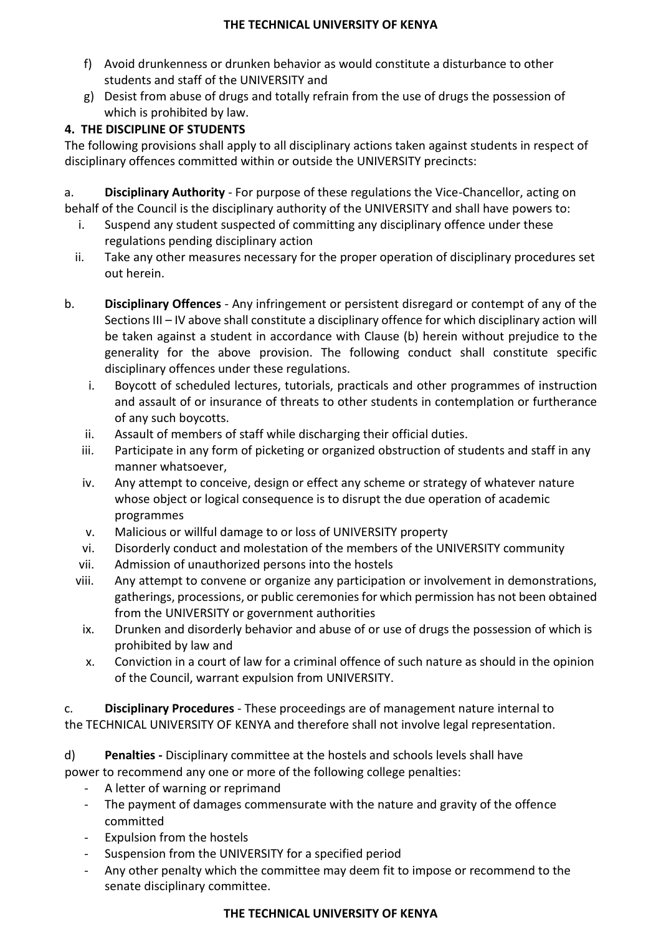- f) Avoid drunkenness or drunken behavior as would constitute a disturbance to other students and staff of the UNIVERSITY and
- g) Desist from abuse of drugs and totally refrain from the use of drugs the possession of which is prohibited by law.

# **4. THE DISCIPLINE OF STUDENTS**

The following provisions shall apply to all disciplinary actions taken against students in respect of disciplinary offences committed within or outside the UNIVERSITY precincts:

a. **Disciplinary Authority** - For purpose of these regulations the Vice-Chancellor, acting on behalf of the Council is the disciplinary authority of the UNIVERSITY and shall have powers to:

- i. Suspend any student suspected of committing any disciplinary offence under these regulations pending disciplinary action
- ii. Take any other measures necessary for the proper operation of disciplinary procedures set out herein.
- b. **Disciplinary Offences**  Any infringement or persistent disregard or contempt of any of the Sections III – IV above shall constitute a disciplinary offence for which disciplinary action will be taken against a student in accordance with Clause (b) herein without prejudice to the generality for the above provision. The following conduct shall constitute specific disciplinary offences under these regulations.
	- i. Boycott of scheduled lectures, tutorials, practicals and other programmes of instruction and assault of or insurance of threats to other students in contemplation or furtherance of any such boycotts.
	- ii. Assault of members of staff while discharging their official duties.
	- iii. Participate in any form of picketing or organized obstruction of students and staff in any manner whatsoever,
	- iv. Any attempt to conceive, design or effect any scheme or strategy of whatever nature whose object or logical consequence is to disrupt the due operation of academic programmes
	- v. Malicious or willful damage to or loss of UNIVERSITY property
	- vi. Disorderly conduct and molestation of the members of the UNIVERSITY community
	- vii. Admission of unauthorized persons into the hostels
	- viii. Any attempt to convene or organize any participation or involvement in demonstrations, gatherings, processions, or public ceremonies for which permission has not been obtained from the UNIVERSITY or government authorities
		- ix. Drunken and disorderly behavior and abuse of or use of drugs the possession of which is prohibited by law and
		- x. Conviction in a court of law for a criminal offence of such nature as should in the opinion of the Council, warrant expulsion from UNIVERSITY.

c. **Disciplinary Procedures** - These proceedings are of management nature internal to the TECHNICAL UNIVERSITY OF KENYA and therefore shall not involve legal representation.

d) **Penalties -** Disciplinary committee at the hostels and schools levels shall have power to recommend any one or more of the following college penalties:

- A letter of warning or reprimand
- The payment of damages commensurate with the nature and gravity of the offence committed
- Expulsion from the hostels
- Suspension from the UNIVERSITY for a specified period
- Any other penalty which the committee may deem fit to impose or recommend to the senate disciplinary committee.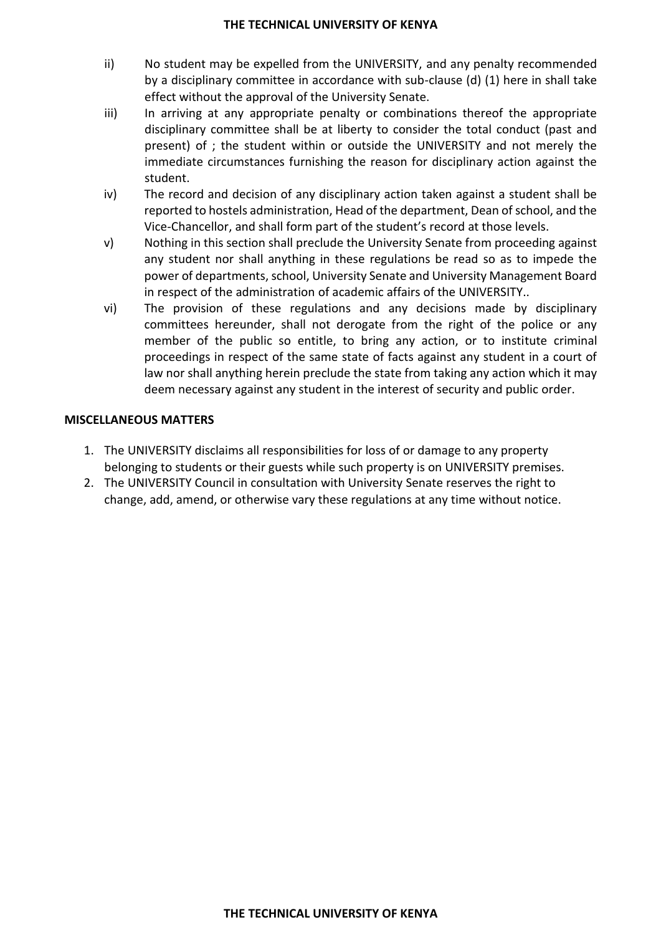- ii) No student may be expelled from the UNIVERSITY, and any penalty recommended by a disciplinary committee in accordance with sub-clause (d) (1) here in shall take effect without the approval of the University Senate.
- iii) In arriving at any appropriate penalty or combinations thereof the appropriate disciplinary committee shall be at liberty to consider the total conduct (past and present) of ; the student within or outside the UNIVERSITY and not merely the immediate circumstances furnishing the reason for disciplinary action against the student.
- iv) The record and decision of any disciplinary action taken against a student shall be reported to hostels administration, Head of the department, Dean of school, and the Vice-Chancellor, and shall form part of the student's record at those levels.
- v) Nothing in this section shall preclude the University Senate from proceeding against any student nor shall anything in these regulations be read so as to impede the power of departments, school, University Senate and University Management Board in respect of the administration of academic affairs of the UNIVERSITY..
- vi) The provision of these regulations and any decisions made by disciplinary committees hereunder, shall not derogate from the right of the police or any member of the public so entitle, to bring any action, or to institute criminal proceedings in respect of the same state of facts against any student in a court of law nor shall anything herein preclude the state from taking any action which it may deem necessary against any student in the interest of security and public order.

## **MISCELLANEOUS MATTERS**

- 1. The UNIVERSITY disclaims all responsibilities for loss of or damage to any property belonging to students or their guests while such property is on UNIVERSITY premises.
- 2. The UNIVERSITY Council in consultation with University Senate reserves the right to change, add, amend, or otherwise vary these regulations at any time without notice.